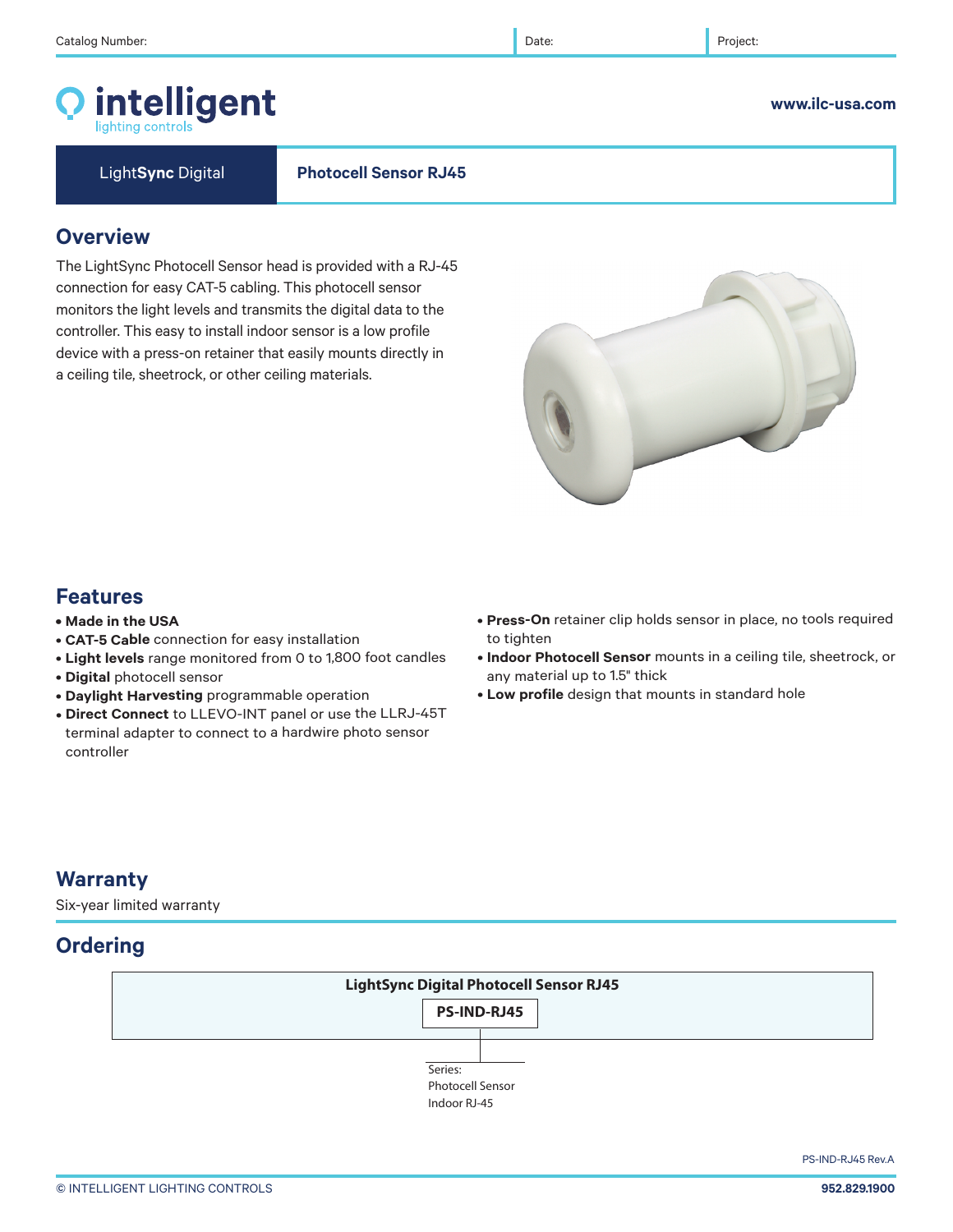### © INTELLIGENT LIGHTING CONTROLS **952.829.1900**

# **Features**

**Warranty**

Six-year limited warranty

**Ordering**

- **Made in the USA**
- **CAT-5 Cable** connection for easy installation
- **Light levels** range monitored from 0 to 1,800 foot candles
- **Digital** photocell sensor
- **Daylight Harvesting** programmable operation
- **Direct Connect** to LLEVO-INT panel or use the LLRJ-45T terminal adapter to connect to a hardwire photo sensor controller
- **Press-On** retainer clip holds sensor in place, no tools required to tighten
- **Indoor Photocell Sensor** mounts in a ceiling tile, sheetrock, or any material up to 1.5" thick
- **Low profile** design that mounts in standard hole

# **Overview**

The LightSync Photocell Sensor head is provided with a RJ-45 connection for easy CAT-5 cabling. This photocell sensor monitors the light levels and transmits the digital data to the controller. This easy to install indoor sensor is a low profile device with a press-on retainer that easily mounts directly in a ceiling tile, sheetrock, or other ceiling materials.

# **LightSync Digital Photocell Sensor RJ45**  Series: Photocell Sensor **PS-IND-RJ45**

Indoor RJ-45



### **www.ilc-usa.com**

PS-IND-RJ45 Rev.A



Light**Sync** Digital **Photocell Sensor RJ45**